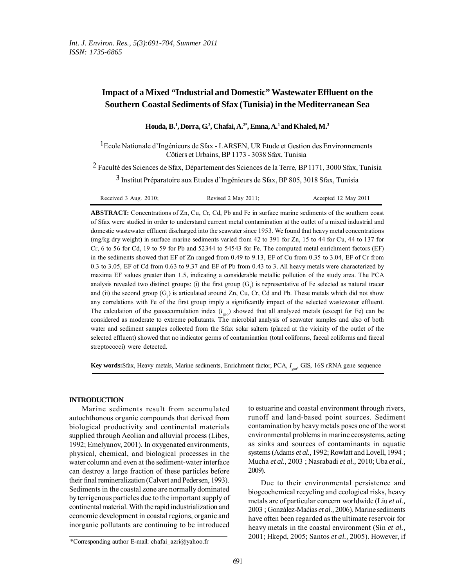# **Impact of a Mixed "Industrial and Domestic" Wastewater Effluent on the Southern Coastal Sediments of Sfax (Tunisia) in the Mediterranean Sea**

**Houda, B.1 , Dorra, G.2 , Chafai, A.2\*, Emna, A.1 and Khaled, M.3**

<sup>1</sup>Ecole Nationale d'Ingénieurs de Sfax - LARSEN, UR Etude et Gestion des Environnements Côtiers et Urbains, BP 1173 - 3038 Sfax, Tunisia

2 Faculté des Sciences de Sfax, Département des Sciences de la Terre, BP 1171, 3000 Sfax, Tunisia

3 Institut Préparatoire aux Etudes d'Ingénieurs de Sfax, BP 805, 3018 Sfax, Tunisia

| Received $3$ Aug. $2010$ ; | Revised 2 May 2011; | Accepted 12 May 2011 |
|----------------------------|---------------------|----------------------|
|----------------------------|---------------------|----------------------|

**ABSTRACT:** Concentrations of Zn, Cu, Cr, Cd, Pb and Fe in surface marine sediments of the southern coast of Sfax were studied in order to understand current metal contamination at the outlet of a mixed industrial and domestic wastewater effluent discharged into the seawater since 1953. We found that heavy metal concentrations (mg/kg dry weight) in surface marine sediments varied from 42 to 391 for Zn, 15 to 44 for Cu, 44 to 137 for Cr, 6 to 56 for Cd, 19 to 59 for Pb and 52344 to 54543 for Fe. The computed metal enrichment factors (EF) in the sediments showed that EF of Zn ranged from 0.49 to 9.13, EF of Cu from 0.35 to 3.04, EF of Cr from 0.3 to 3.05, EF of Cd from 0.63 to 9.37 and EF of Pb from 0.43 to 3. All heavy metals were characterized by maxima EF values greater than 1.5, indicating a considerable metallic pollution of the study area. The PCA analysis revealed two distinct groups: (i) the first group  $(G_1)$  is representative of Fe selected as natural tracer and (ii) the second group  $(G_2)$  is articulated around Zn, Cu, Cr, Cd and Pb. These metals which did not show any correlations with Fe of the first group imply a significantly impact of the selected wastewater effluent. The calculation of the geoaccumulation index  $(I_{\text{geo}})$  showed that all analyzed metals (except for Fe) can be considered as moderate to extreme pollutants. The microbial analysis of seawater samples and also of both water and sediment samples collected from the Sfax solar saltern (placed at the vicinity of the outlet of the selected effluent) showed that no indicator germs of contamination (total coliforms, faecal coliforms and faecal streptococci) were detected.

**Key words:**Sfax, Heavy metals, Marine sediments, Enrichment factor, PCA, *I* geo, GIS, 16S rRNA gene sequence

## **INTRODUCTION**

Marine sediments result from accumulated autochthonous organic compounds that derived from biological productivity and continental materials supplied through Aeolian and alluvial process (Libes, 1992; Emelyanov, 2001). In oxygenated environments, physical, chemical, and biological processes in the water column and even at the sediment-water interface can destroy a large fraction of these particles before their final remineralization (Calvert and Pedersen, 1993). Sediments in the coastal zone are normally dominated by terrigenous particles due to the important supply of continental material. With the rapid industrialization and economic development in coastal regions, organic and inorganic pollutants are continuing to be introduced

\*Corresponding author E-mail: chafai\_azri@yahoo.fr

to estuarine and coastal environment through rivers, runoff and land-based point sources. Sediment contamination by heavy metals poses one of the worst environmental problems in marine ecosystems, acting as sinks and sources of contaminants in aquatic systems (Adams *et al.,* 1992; Rowlatt and Lovell, 1994 ; Mucha *et al.,* 2003 ; Nasrabadi *et al.,* 2010; Uba *et al.,* 2009).

Due to their environmental persistence and biogeochemical recycling and ecological risks, heavy metals are of particular concern worldwide (Liu *et al.,* 2003 ; González-Maćias *et al.,* 2006). Marine sediments have often been regarded as the ultimate reservoir for heavy metals in the coastal environment (Sin *et al.,* 2001; Hkepd, 2005; Santos *et al.,* 2005). However, if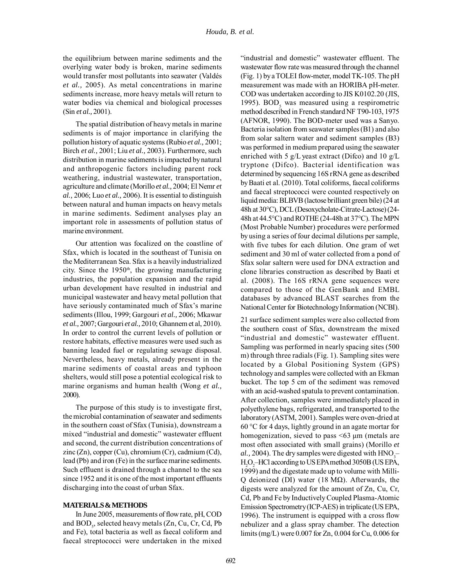the equilibrium between marine sediments and the overlying water body is broken, marine sediments would transfer most pollutants into seawater (Valdés *et al.,* 2005). As metal concentrations in marine sediments increase, more heavy metals will return to water bodies via chemical and biological processes (Sin *et al.,* 2001).

The spatial distribution of heavy metals in marine sediments is of major importance in clarifying the pollution history of aquatic systems (Rubio *et al.,* 2001; Birch *et al.,* 2001; Liu *et al.,* 2003). Furthermore, such distribution in marine sediments is impacted by natural and anthropogenic factors including parent rock weathering, industrial wastewater, transportation, agriculture and climate (Morillo *et al.,* 2004; El Nemr *et al.,* 2006; Luo *et al.,* 2006). It is essential to distinguish between natural and human impacts on heavy metals in marine sediments. Sediment analyses play an important role in assessments of pollution status of marine environment.

Our attention was focalized on the coastline of Sfax, which is located in the southeast of Tunisia on the Mediterranean Sea. Sfax is a heavily industrialized city. Since the  $1950<sup>th</sup>$ , the growing manufacturing industries, the population expansion and the rapid urban development have resulted in industrial and municipal wastewater and heavy metal pollution that have seriously contaminated much of Sfax's marine sediments (Illou, 1999; Gargouri *et al.,* 2006; Mkawar *et al.,* 2007; Gargouri *et al.,* 2010; Ghannem et al, 2010). In order to control the current levels of pollution or restore habitats, effective measures were used such as banning leaded fuel or regulating sewage disposal. Nevertheless, heavy metals, already present in the marine sediments of coastal areas and typhoon shelters, would still pose a potential ecological risk to marine organisms and human health (Wong *et al.,* 2000).

The purpose of this study is to investigate first, the microbial contamination of seawater and sediments in the southern coast of Sfax (Tunisia), downstream a mixed "industrial and domestic" wastewater effluent and second, the current distribution concentrations of zinc (Zn), copper (Cu), chromium (Cr), cadmium (Cd), lead (Pb) and iron (Fe) in the surface marine sediments. Such effluent is drained through a channel to the sea since 1952 and it is one of the most important effluents discharging into the coast of urban Sfax.

### **MATERIALS & METHODS**

In June 2005, measurements of flow rate, pH, COD and BOD<sub>5</sub>, selected heavy metals (Zn, Cu, Cr, Cd, Pb and Fe), total bacteria as well as faecal coliform and faecal streptococci were undertaken in the mixed "industrial and domestic" wastewater effluent. The wastewater flow rate was measured through the channel (Fig. 1) by a TOLEI flow-meter, model TK-105. The pH measurement was made with an HORIBA pH-meter. COD was undertaken according to JIS K0102.20 (JIS, 1995).  $BOD<sub>5</sub>$  was measured using a respirometric method described in French standard NF T90-103, 1975 (AFNOR, 1990). The BOD-meter used was a Sanyo. Bacteria isolation from seawater samples (B1) and also from solar saltern water and sediment samples (B3) was performed in medium prepared using the seawater enriched with 5  $g/L$  yeast extract (Difco) and 10  $g/L$ tryptone (Difco). Bacterial identification was determined by sequencing 16S rRNA gene as described by Baati et al. (2010). Total coliforms, faecal coliforms and faecal streptococci were counted respectively on liquid media: BLBVB (lactose brilliant green bile) (24 at 48h at 30°C), DCL (Desoxycholate-Citrate-Lactose) (24- 48h at 44.5°C) and ROTHE (24-48h at 37°C). The MPN (Most Probable Number) procedures were performed by using a series of four decimal dilutions per sample, with five tubes for each dilution. One gram of wet sediment and 30 ml of water collected from a pond of Sfax solar saltern were used for DNA extraction and clone libraries construction as described by Baati et al. (2008). The 16S rRNA gene sequences were compared to those of the GenBank and EMBL databases by advanced BLAST searches from the National Center for Biotechnology Information (NCBI).

21 surface sediment samples were also collected from the southern coast of Sfax, downstream the mixed "industrial and domestic" wastewater effluent. Sampling was performed in nearly spacing sites (500 m) through three radials (Fig. 1). Sampling sites were located by a Global Positioning System (GPS) technology and samples were collected with an Ekman bucket. The top 5 cm of the sediment was removed with an acid-washed spatula to prevent contamination. After collection, samples were immediately placed in polyethylene bags, refrigerated, and transported to the laboratory (ASTM, 2001). Samples were oven-dried at 60 °C for 4 days, lightly ground in an agate mortar for homogenization, sieved to pass  $\leq 63 \mu$ m (metals are most often associated with small grains) (Morillo *et al.*, 2004). The dry samples were digested with  $HNO<sub>3</sub>$ H2 O2 –HCl according to US EPA method 3050B (US EPA, 1999) and the digestate made up to volume with Milli-Q deionized (DI) water (18 MΩ). Afterwards, the digests were analyzed for the amount of Zn, Cu, Cr, Cd, Pb and Fe by Inductively Coupled Plasma-Atomic Emission Spectrometry (ICP-AES) in triplicate (US EPA, 1996). The instrument is equipped with a cross flow nebulizer and a glass spray chamber. The detection limits (mg/L) were 0.007 for Zn, 0.004 for Cu, 0.006 for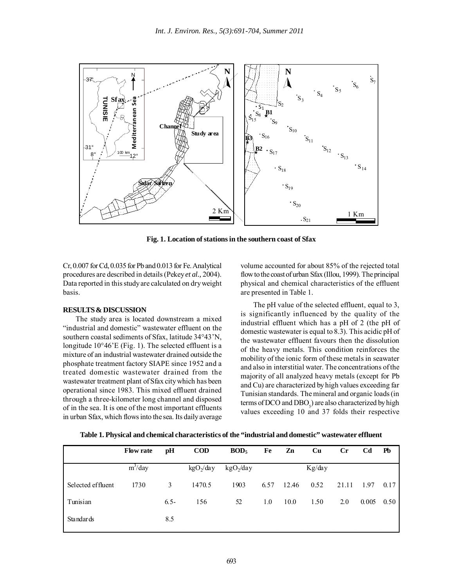

**Fig. 1. Location of stations in the southern coast of Sfax**

Cr, 0.007 for Cd, 0.035 for Pb and 0.013 for Fe. Analytical procedures are described in details (Pekey *et al.,* 2004). Data reported in this study are calculated on dry weight basis.

#### **RESULTS & DISCUSSION**

The study area is located downstream a mixed "industrial and domestic" wastewater effluent on the southern coastal sediments of Sfax, latitude 34°43'N, longitude 10°46'E (Fig. 1). The selected effluent is a mixture of an industrial wastewater drained outside the phosphate treatment factory SIAPE since 1952 and a treated domestic wastewater drained from the wastewater treatment plant of Sfax city which has been operational since 1983. This mixed effluent drained through a three-kilometer long channel and disposed of in the sea. It is one of the most important effluents in urban Sfax, which flows into the sea. Its daily average volume accounted for about 85% of the rejected total flow to the coast of urban Sfax (Illou, 1999). The principal physical and chemical characteristics of the effluent are presented in Table 1.

The pH value of the selected effluent, equal to 3, is significantly influenced by the quality of the industrial effluent which has a pH of 2 (the pH of domestic wastewater is equal to 8.3). This acidic pH of the wastewater effluent favours then the dissolution of the heavy metals. This condition reinforces the mobility of the ionic form of these metals in seawater and also in interstitial water. The concentrations of the majority of all analyzed heavy metals (except for Pb and Cu) are characterized by high values exceeding far Tunisian standards. The mineral and organic loads (in terms of DCO and  $DBO<sub>5</sub>$ ) are also characterized by high values exceeding 10 and 37 folds their respective

| Table 1. Physical and chemical characteristics of the "industrial and domestic" wastewater effluent |            |                        |  |                  |  |      |
|-----------------------------------------------------------------------------------------------------|------------|------------------------|--|------------------|--|------|
| Flow rate pH                                                                                        | <b>COD</b> | BOD <sub>5</sub> Fe Zn |  | - Cu - Cr - Cd - |  | - Pb |

|                   | <b>Flow rate</b> | pH      | <b>COD</b>   | BOD <sub>5</sub> | Fe   | Zn    | Cu     | $_{\rm Cr}$ | Cd    | Pb   |
|-------------------|------------------|---------|--------------|------------------|------|-------|--------|-------------|-------|------|
|                   | $m^3$ /day       |         | $kgO_2$ /day | $kgO_2$ /day     |      |       | Kg/day |             |       |      |
| Selected effluent | 1730             | 3       | 1470.5       | 1903             | 6.57 | 12.46 | 0.52   | 21.11       | 1.97  | 0.17 |
| Tunisian          |                  | $6.5 -$ | 156          | 52               | 1.0  | 10.0  | 1.50   | 2.0         | 0.005 | 0.50 |
| <b>Standards</b>  |                  | 8.5     |              |                  |      |       |        |             |       |      |
|                   |                  |         |              |                  |      |       |        |             |       |      |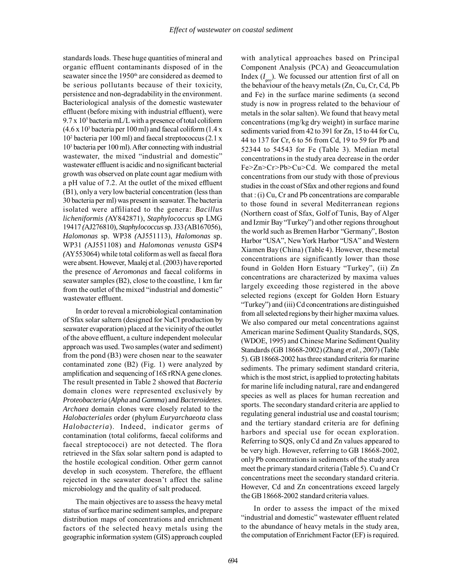standards loads. These huge quantities of mineral and organic effluent contaminants disposed of in the seawater since the 1950<sup>th</sup> are considered as deemed to be serious pollutants because of their toxicity, persistence and non-degradability in the environment. Bacteriological analysis of the domestic wastewater effluent (before mixing with industrial effluent), were 9.7 x 10<sup>5</sup> bacteria mL/L with a presence of total coliform  $(4.6 \times 10^3$  bacteria per 100 ml) and faecal coliform  $(1.4 \times$ 102 bacteria per 100 ml) and faecal streptococcus (2.1 x 103 bacteria per 100 ml). After connecting with industrial wastewater, the mixed "industrial and domestic" wastewater effluent is acidic and no significant bacterial growth was observed on plate count agar medium with a pH value of 7.2. At the outlet of the mixed effluent (B1), only a very low bacterial concentration (less than 30 bacteria per ml) was present in seawater. The bacteria isolated were affiliated to the genera: *Bacillus licheniformis (*AY842871), *Staphylococcus* sp LMG 19417 *(*AJ276810)*, Staphylococcus* sp. J33 *(*AB167056), *Halomonas* sp. WP38 *(*AJ551113), *Halomonas* sp. WP31 *(*AJ551108) and *Halomonas venusta* GSP4 *(*AY553064) while total coliform as well as faecal flora were absent. However, Maalej et al. (2003) have reported the presence of *Aeromonas* and faecal coliforms in seawater samples (B2), close to the coastline, 1 km far from the outlet of the mixed "industrial and domestic" wastewater effluent.

In order to reveal a microbiological contamination of Sfax solar saltern (designed for NaCl production by seawater evaporation) placed at the vicinity of the outlet of the above effluent, a culture independent molecular approach was used. Two samples (water and sediment) from the pond (B3) were chosen near to the seawater contaminated zone (B2) (Fig. 1) were analyzed by amplification and sequencing of 16S rRNA gene clones. The result presented in Table 2 showed that *Bacteria* domain clones were represented exclusively by *Proteobacteria* (*Alpha* and *Gamma*) and *Bacteroidetes*. *Archaea* domain clones were closely related to the *Halobacteriales* order (phylum *Euryarchaeota* class *Halobacteria*). Indeed, indicator germs of contamination (total coliforms, faecal coliforms and faecal streptococci) are not detected. The flora retrieved in the Sfax solar saltern pond is adapted to the hostile ecological condition. Other germ cannot develop in such ecosystem. Therefore, the effluent rejected in the seawater doesn't affect the saline microbiology and the quality of salt produced.

The main objectives are to assess the heavy metal status of surface marine sediment samples, and prepare distribution maps of concentrations and enrichment factors of the selected heavy metals using the geographic information system (GIS) approach coupled with analytical approaches based on Principal Component Analysis (PCA) and Geoaccumulation Index (*I geo*). We focussed our attention first of all on the behaviour of the heavy metals (Zn, Cu, Cr, Cd, Pb and Fe) in the surface marine sediments (a second study is now in progress related to the behaviour of metals in the solar salten). We found that heavy metal concentrations (mg/kg dry weight) in surface marine sediments varied from 42 to 391 for Zn, 15 to 44 for Cu, 44 to 137 for Cr, 6 to 56 from Cd, 19 to 59 for Pb and 52344 to 54543 for Fe (Table 3). Median metal concentrations in the study area decrease in the order Fe>Zn>Cr>Pb>Cu>Cd. We compared the metal concentrations from our study with those of previous studies in the coast of Sfax and other regions and found that : (i) Cu, Cr and Pb concentrations are comparable to those found in several Mediterranean regions (Northern coast of Sfax, Golf of Tunis, Bay of Alger and Izmir Bay "Turkey") and other regions throughout the world such as Bremen Harbor "Germany", Boston Harbor "USA", New York Harbor "USA" and Western Xiamen Bay (China) (Table 4). However, these metal concentrations are significantly lower than those found in Golden Horn Estuary "Turkey", (ii) Zn concentrations are characterized by maxima values largely exceeding those registered in the above selected regions (except for Golden Horn Estuary "Turkey") and (iii) Cd concentrations are distinguished from all selected regions by their higher maxima values. We also compared our metal concentrations against American marine Sediment Quality Standards, SQS, (WDOE, 1995) and Chinese Marine Sediment Quality Standards (GB 18668-2002) (Zhang *et al.,* 2007) (Table 5). GB 18668-2002 has three standard criteria for marine sediments. The primary sediment standard criteria, which is the most strict, is applied to protecting habitats for marine life including natural, rare and endangered species as well as places for human recreation and sports. The secondary standard criteria are applied to regulating general industrial use and coastal tourism; and the tertiary standard criteria are for defining harbors and special use for ocean exploration. Referring to SQS, only Cd and Zn values appeared to be very high. However, referring to GB 18668-2002, only Pb concentrations in sediments of the study area meet the primary standard criteria (Table 5). Cu and Cr concentrations meet the secondary standard criteria. However, Cd and Zn concentrations exceed largely the GB 18668-2002 standard criteria values.

In order to assess the impact of the mixed "industrial and domestic" wastewater effluent related to the abundance of heavy metals in the study area, the computation of Enrichment Factor (EF) is required.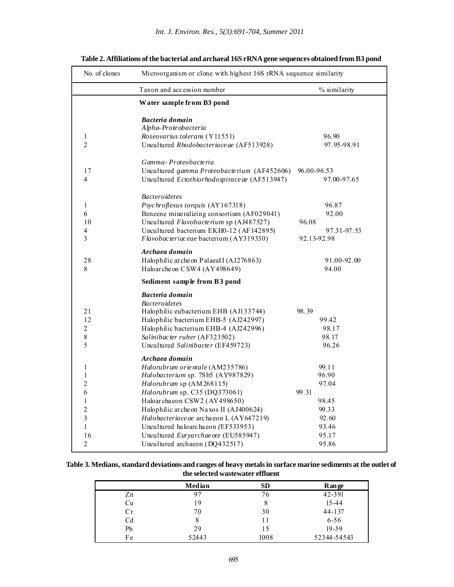| No. of clones               | Microorganism or clone with highest 16S rRNA sequence similarity       |                |
|-----------------------------|------------------------------------------------------------------------|----------------|
|                             | Taxon and accession number                                             | % similarity   |
|                             | Water sample from B3 pond                                              |                |
|                             | Bacteria domain                                                        |                |
|                             | Alpha-Prote obacteria                                                  |                |
| 1                           | Roseovarius tolerans (Y11551)                                          | 96.90          |
| $\overline{2}$              | Uncultured Rhodobacteriace ae (AF513928)                               | 97.95-98.91    |
|                             | Gamma-Proteobacteria                                                   |                |
| 17                          | Uncultured gamma Proteobacterium (AF452606)                            | 96.00-96.53    |
| 4                           | Uncultured Ectothiorhodospirace ae (AF513947)                          | 97.00-97.65    |
|                             | <b>Bacteroidetes</b>                                                   |                |
| 1                           | Psychroflexus torquis (AY167318)                                       | 96.87          |
| 6                           | Benzene mineralizing consortium (AF029041)                             | 92.00          |
| 10                          | Uncultured Flavobacterium sp (AJ487527)                                | 96.08          |
| 4                           | Uncultured bacterium EKH0-12 (AF142895)                                | 97.31-97.53    |
| 3                           | Flavobacteriaceae bacterium (AY319330)                                 | 92.13-92.98    |
|                             | Archaea domain                                                         |                |
| 28                          | Halophilic archeon PalaeaII (AJ276863)                                 | 91.00-92.00    |
| 8                           | Haloar che on CSW4 (AY498649)                                          | 94.00          |
|                             | Sediment sample from B3 pond                                           |                |
|                             | Bacteria domain                                                        |                |
|                             | <b>Bacteroidetes</b>                                                   |                |
| 21                          | Halophilic eubacterium EHB (AJ133744)                                  | 98.39          |
| 12                          | Halophilic bacterium EHB-5 (AJ242997)                                  | 99.42          |
| $\overline{c}$<br>$\,$ $\,$ | Halophilic bacterium EHB-4 (AJ242996)<br>Salinibacter ruber (AF323502) | 98.17<br>98.17 |
| 5                           | Uncultured Salinibacter (EF459723)                                     | 96.26          |
|                             |                                                                        |                |
|                             | Archaea domain                                                         |                |
| 1<br>1                      | Halorubrum orientale (AM235786)<br>Halobacterium sp. 7Sb5 (AY987829)   | 99.11<br>96.90 |
| $\overline{c}$              | Halorubrum sp (AM268115)                                               | 97.04          |
| 6                           | Halorubrum sp. C35 (DQ373061)                                          | 99.31          |
| 1                           | Haloarchaeon CSW2 (AY498650)                                           | 98.45          |
| $\mathfrak{2}$              | Halophilic archeon Naxos II (AJ400624)                                 | 99.33          |
| 3                           | Halobacteriace ae archaeon L (AY647219)                                | 92.60          |
| $\mathbf{1}$                | Uncultured haloarchaeon (EF533953)                                     | 93.46          |
| 16                          | Uncultured Euryarchae ote (EU585947)                                   | 95.17          |
| $\overline{c}$              | Uncultured archaeon (DQ432517)                                         | 95.86          |

**Table 2. Affiliations of the bacterial and archaeal 16S rRNA gene sequences obtained from B3 pond**

| Table 3. Medians, standard deviations and ranges of heavy metals in surface marine sediments at the outlet of |
|---------------------------------------------------------------------------------------------------------------|
| the selected wastewater effluent                                                                              |

|                | <b>Median</b> | <b>SD</b> | <b>Range</b> |
|----------------|---------------|-----------|--------------|
| Zn             | 97            | 76        | 42-391       |
| Cu             | 19            | O         | $15 - 44$    |
| Cr             | 70            | 30        | $44 - 137$   |
| C <sub>d</sub> | 8             | 11        | $6 - 56$     |
| Pb             | 29            | 15        | $19 - 59$    |
| Fe             | 52443         | 1008      | 52344-54543  |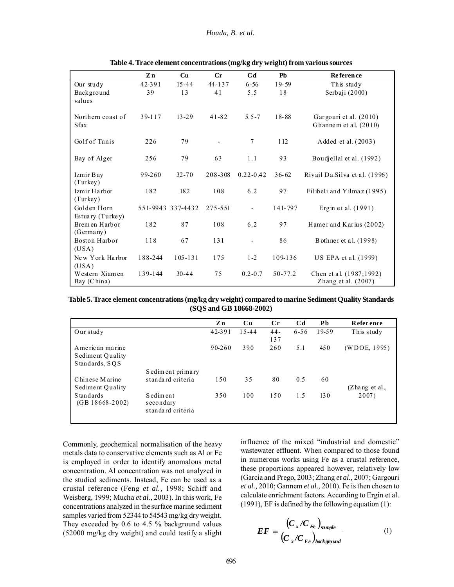|                                 | Zn      | Cu                | $\mathbf{C}$ r           | C <sub>d</sub>           | <b>Ph</b> | <b>Reference</b>                                 |
|---------------------------------|---------|-------------------|--------------------------|--------------------------|-----------|--------------------------------------------------|
| Our study                       | 42-391  | $15 - 44$         | $44 - 137$               | $6 - 56$                 | $19 - 59$ | This study                                       |
| Background                      | 39      | 13                | 41                       | 5.5                      | 18        | Serbaji (2000)                                   |
| values                          |         |                   |                          |                          |           |                                                  |
| Northern coast of               | 39-117  | $13 - 29$         | $41 - 82$                | $5.5 - 7$                | $18 - 88$ | Gargouri et al. (2010)                           |
| Sfax                            |         |                   |                          |                          |           | Ghannem et al. (2010)                            |
| Golf of Tunis                   | 226     | 79                | $\overline{\phantom{0}}$ | 7                        | 112       | Added et al. (2003)                              |
| Bay of Alger                    | 256     | 79                | 63                       | 1.1                      | 93        | Boudjellal et al. (1992)                         |
| Izmir Bay<br>(Turkey)           | 99-260  | $32 - 70$         | 208-308                  | $0.22 - 0.42$            | $36 - 62$ | Rivail Da. Silva et al. (1996)                   |
| Izmir Harbor<br>(Turkey)        | 182     | 182               | 108                      | 6.2                      | 97        | Filibeli and Yilmaz (1995)                       |
| Golden Horn<br>Estuary (Turkey) |         | 551-9943 337-4432 | 275-551                  | $\overline{a}$           | 141-797   | Ergin et al. (1991)                              |
| Brem en Harbor<br>(Germany)     | 182     | 87                | 108                      | 6.2                      | 97        | Hamer and Karius (2002)                          |
| Boston Harbor<br>(USA)          | 118     | 67                | 131                      | $\overline{\phantom{0}}$ | 86        | B othner et al. (1998)                           |
| New York Harbor                 | 188-244 | $105 - 131$       | 175                      | $1 - 2$                  | 109-136   | US EPA et al. (1999)                             |
| (USA)                           |         |                   |                          |                          |           |                                                  |
| Western Xiamen<br>Bay (China)   | 139-144 | $30 - 44$         | 75                       | $0.2 - 0.7$              | 50-77.2   | Chen et al. (1987;1992)<br>Zhang et al. $(2007)$ |

|  | Table 4. Trace element concentrations (mg/kg dry weight) from various sources |  |  |  |  |
|--|-------------------------------------------------------------------------------|--|--|--|--|
|--|-------------------------------------------------------------------------------|--|--|--|--|

**Table 5. Trace element concentrations (mg/kg dry weight) compared to marine Sediment Quality Standards (SQS and GB 18668-2002)**

|                                                          |                                               | Zn         | $\mathbf{C}\mathbf{u}$ | $_{\rm Cr}$   | C <sub>d</sub> | P <sub>b</sub> | <b>Reference</b>        |
|----------------------------------------------------------|-----------------------------------------------|------------|------------------------|---------------|----------------|----------------|-------------------------|
| Our study                                                |                                               | 42-391     | $15 - 44$              | $44 -$<br>137 | $6 - 56$       | 19-59          | This study              |
| A me ric an marine<br>Sediment Quality<br>Standards, SQS |                                               | $90 - 260$ | 390                    | 260           | 5.1            | 450            | (WDOE, 1995)            |
| Chinese Marine<br>Sediment Quality                       | S ed im ent primary<br>standard criteria      | 150        | 35                     | 80            | 0.5            | 60             | $(Zha \nvert z$ et al., |
| Standards<br>$(GB18668-2002)$                            | S ed im ent<br>secondary<br>standard criteria | 350        | 100                    | 150           | 1.5            | 130            | 2007)                   |

Commonly, geochemical normalisation of the heavy metals data to conservative elements such as Al or Fe is employed in order to identify anomalous metal concentration. Al concentration was not analyzed in the studied sediments. Instead, Fe can be used as a crustal reference (Feng *et al.,* 1998; Schiff and Weisberg, 1999; Mucha *et al.,* 2003). In this work, Fe concentrations analyzed in the surface marine sediment samples varied from 52344 to 54543 mg/kg dry weight. They exceeded by 0.6 to 4.5 % background values (52000 mg/kg dry weight) and could testify a slight influence of the mixed "industrial and domestic" wastewater effluent. When compared to those found in numerous works using Fe as a crustal reference, these proportions appeared however, relatively low (Garcia and Prego, 2003; Zhang *et al.,* 2007; Gargouri *et al.,* 2010; Gannem *et al.,* 2010). Fe is then chosen to calculate enrichment factors. According to Ergin et al. (1991), EF is defined by the following equation (1):

$$
EF = \frac{\left(C_x/C_{Fe}\right)_{sample}}{\left(C_x/C_{Fe}\right)_{background}}\tag{1}
$$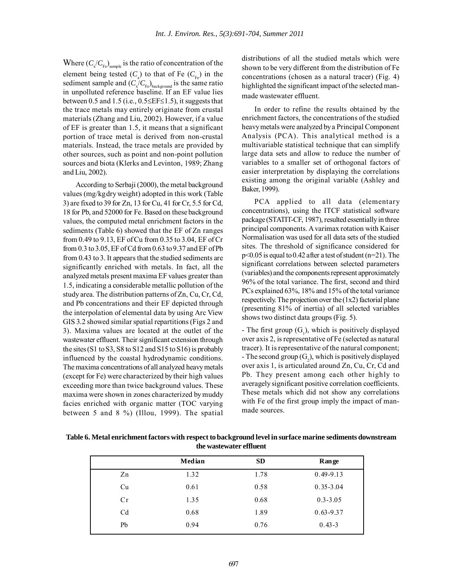Where  $(C_x/C_{\text{Fe}})_{\text{sample}}$  is the ratio of concentration of the element being tested  $(C_x)$  to that of Fe  $(C_{Fe})$  in the sediment sample and  $(C_{\rm x}/C_{\rm Fe})_{\rm background}$  is the same ratio in unpolluted reference baseline. If an EF value lies between 0.5 and 1.5 (i.e.,  $0.5 \leq E \leq 1.5$ ), it suggests that the trace metals may entirely originate from crustal materials (Zhang and Liu, 2002). However, if a value of EF is greater than 1.5, it means that a significant portion of trace metal is derived from non-crustal materials. Instead, the trace metals are provided by other sources, such as point and non-point pollution sources and biota (Klerks and Levinton, 1989; Zhang and Liu, 2002).

According to Serbaji (2000), the metal background values (mg/kgdry weight) adopted in this work (Table 3) are fixed to 39 for Zn, 13 for Cu, 41 for Cr, 5.5 for Cd, 18 for Pb, and 52000 for Fe. Based on these background values, the computed metal enrichment factors in the sediments (Table 6) showed that the EF of Zn ranges from 0.49 to 9.13, EF of Cu from 0.35 to 3.04, EF of Cr from 0.3 to 3.05, EF of Cd from 0.63 to 9.37 and EF of Pb from 0.43 to 3. It appears that the studied sediments are significantly enriched with metals. In fact, all the analyzed metals present maxima EF values greater than 1.5, indicating a considerable metallic pollution of the study area. The distribution patterns of Zn, Cu, Cr, Cd, and Pb concentrations and their EF depicted through the interpolation of elemental data by using Arc View GIS 3.2 showed similar spatial repartitions (Figs 2 and 3). Maxima values are located at the outlet of the wastewater effluent. Their significant extension through the sites (S1 to S3, S8 to S12 and S15 to S16) is probably influenced by the coastal hydrodynamic conditions. The maxima concentrations of all analyzed heavy metals (except for Fe) were characterized by their high values exceeding more than twice background values. These maxima were shown in zones characterized by muddy facies enriched with organic matter (TOC varying between 5 and 8 %) (Illou, 1999). The spatial

distributions of all the studied metals which were shown to be very different from the distribution of Fe concentrations (chosen as a natural tracer) (Fig. 4) highlighted the significant impact of the selected manmade wastewater effluent.

In order to refine the results obtained by the enrichment factors, the concentrations of the studied heavy metals were analyzed by a Principal Component Analysis (PCA). This analytical method is a multivariable statistical technique that can simplify large data sets and allow to reduce the number of variables to a smaller set of orthogonal factors of easier interpretation by displaying the correlations existing among the original variable (Ashley and Baker, 1999).

PCA applied to all data (elementary concentrations), using the ITCF statistical software package (STATIT-CF, 1987), resulted essentially in three principal components. A varimax rotation with Kaiser Normalisation was used for all data sets of the studied sites. The threshold of significance considered for p<0.05 is equal to 0.42 after a test of student (n=21). The significant correlations between selected parameters (variables) and the components represent approximately 96% of the total variance. The first, second and third PCs explained 63%, 18% and 15% of the total variance respectively. The projection over the  $(1x2)$  factorial plane (presenting 81% of inertia) of all selected variables shows two distinct data groups (Fig. 5).

- The first group  $(G_1)$ , which is positively displayed over axis 2, is representative of Fe (selected as natural tracer). It is representative of the natural component; - The second group  $(G_2)$ , which is positively displayed over axis 1, is articulated around Zn, Cu, Cr, Cd and Pb. They present among each other highly to averagely significant positive correlation coefficients. These metals which did not show any correlations with Fe of the first group imply the impact of manmade sources.

|                | Median | <b>SD</b> | Range         |
|----------------|--------|-----------|---------------|
| Zn             | 1.32   | 1.78      | $0.49 - 9.13$ |
| Cu             | 0.61   | 0.58      | $0.35 - 3.04$ |
| Cr             | 1.35   | 0.68      | $0.3 - 3.05$  |
| C <sub>d</sub> | 0.68   | 1.89      | $0.63 - 9.37$ |
| Pb             | 0.94   | 0.76      | $0.43 - 3$    |

**Table 6. Metal enrichment factors with respect to background level in surface marine sediments downstream the wastewater effluent**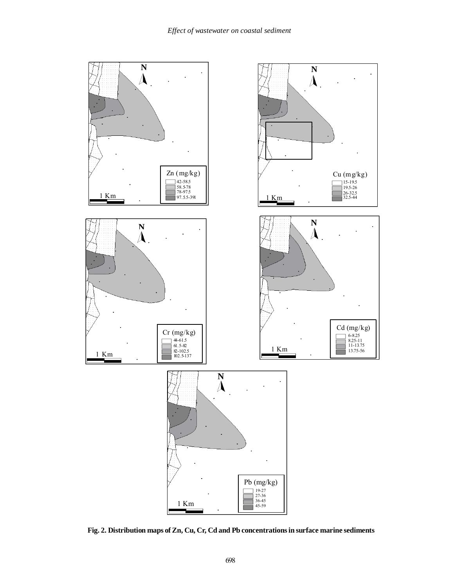

**Fig. 2. Distribution maps of Zn, Cu, Cr, Cd and Pb concentrations in surface marine sediments**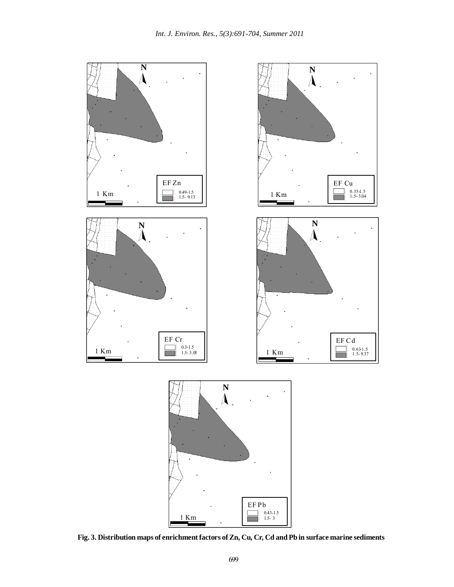

**Fig. 3. Distribution maps of enrichment factors of Zn, Cu, Cr, Cd and Pb in surface marine sediments**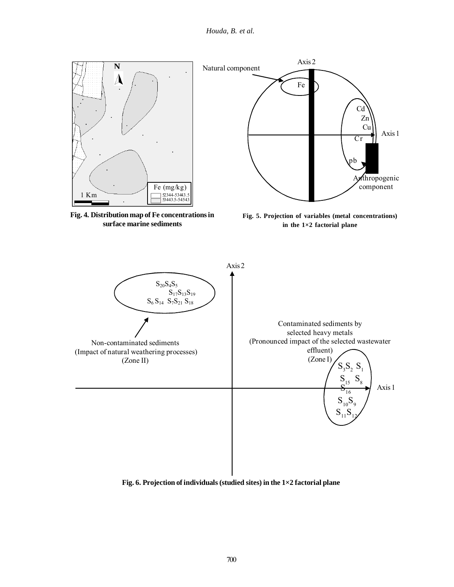*Houda, B. et al.*



**Fig. 6. Projection of individuals (studied sites) in the 1×2 factorial plane**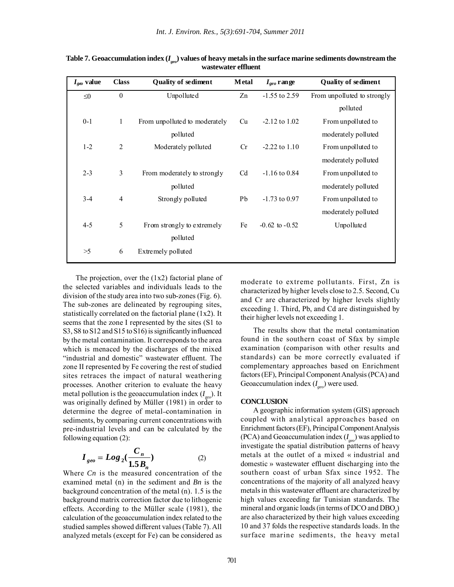| $I_{geo}$ value | <b>Class</b>   | <b>Quality of sediment</b>    | <b>M</b> etal  | $I_{geo}$ range    | <b>Quality of sediment</b>  |
|-----------------|----------------|-------------------------------|----------------|--------------------|-----------------------------|
| $\leq 0$        | $\mathbf{0}$   | Unpolluted                    | Zn             | $-1.55$ to 2.59    | From unpolluted to strongly |
|                 |                |                               |                |                    | polluted                    |
| $0 - 1$         | 1              | From unpolluted to moderately | Cu             | $-2.12$ to $1.02$  | From unpolluted to          |
|                 |                | polluted                      |                |                    | moderately polluted         |
| $1 - 2$         | $\overline{2}$ | Moderately polluted           | Cr             | $-2.22$ to $1.10$  | From unpolluted to          |
|                 |                |                               |                |                    | moderately polluted         |
| $2 - 3$         | 3              | From moderately to strongly   | C <sub>d</sub> | $-1.16$ to 0.84    | From unpolluted to          |
|                 |                | polluted                      |                |                    | moderately polluted         |
| $3-4$           | $\overline{4}$ | Strongly polluted             | Pb             | $-1.73$ to 0.97    | From unpolluted to          |
|                 |                |                               |                |                    | moderately polluted         |
| $4 - 5$         | 5              | From strongly to extremely    | Fe             | $-0.62$ to $-0.52$ | Unpolluted                  |
|                 |                | polluted                      |                |                    |                             |
| >5              | 6              | Extremely polluted            |                |                    |                             |

**Table 7. Geoaccumulation index (***Igeo***) values of heavy metals in the surface marine sediments downstream the wastewater effluent**

The projection, over the  $(1x2)$  factorial plane of the selected variables and individuals leads to the division of the study area into two sub-zones (Fig. 6). The sub-zones are delineated by regrouping sites, statistically correlated on the factorial plane (1x2). It seems that the zone I represented by the sites (S1 to S3, S8 to S12 and S15 to S16) is significantly influenced by the metal contamination. It corresponds to the area which is menaced by the discharges of the mixed "industrial and domestic" wastewater effluent. The zone II represented by Fe covering the rest of studied sites retraces the impact of natural weathering processes. Another criterion to evaluate the heavy metal pollution is the geoaccumulation index  $(I_{\infty})$ . It was originally defined by Müller (1981) in order to determine the degree of metal-contamination in sediments, by comparing current concentrations with pre-industrial levels and can be calculated by the following equation (2):

$$
I_{geo} = Log_2(\frac{C_n}{1.5B_n})
$$
 (2)

Where *Cn* is the measured concentration of the examined metal (n) in the sediment and *Bn* is the background concentration of the metal (n). 1.5 is the background matrix correction factor due to lithogenic effects. According to the Müller scale (1981), the calculation of the geoaccumulation index related to the studied samples showed different values (Table 7). All analyzed metals (except for Fe) can be considered as moderate to extreme pollutants. First, Zn is characterized by higher levels close to 2.5. Second, Cu and Cr are characterized by higher levels slightly exceeding 1. Third, Pb, and Cd are distinguished by their higher levels not exceeding 1.

The results show that the metal contamination found in the southern coast of Sfax by simple examination (comparison with other results and standards) can be more correctly evaluated if complementary approaches based on Enrichment factors (EF), Principal Component Analysis (PCA) and Geoaccumulation index (*I geo*) were used.

#### **CONCLUSION**

A geographic information system (GIS) approach coupled with analytical approaches based on Enrichment factors (EF), Principal Component Analysis (PCA) and Geoaccumulation index (*I geo*) was applied to investigate the spatial distribution patterns of heavy metals at the outlet of a mixed « industrial and domestic » wastewater effluent discharging into the southern coast of urban Sfax since 1952. The concentrations of the majority of all analyzed heavy metals in this wastewater effluent are characterized by high values exceeding far Tunisian standards. The mineral and organic loads (in terms of DCO and  $\text{DBO}_5$ ) are also characterized by their high values exceeding 10 and 37 folds the respective standards loads. In the surface marine sediments, the heavy metal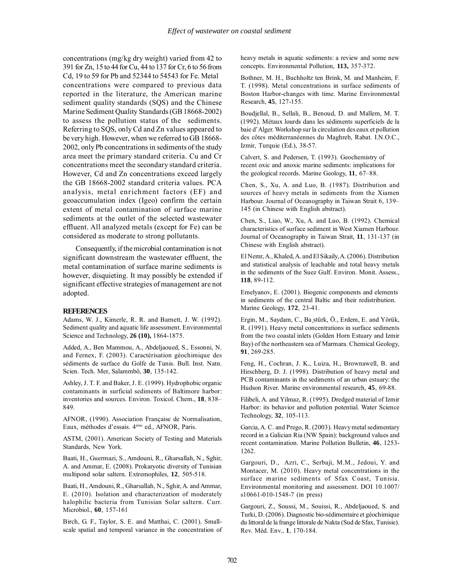concentrations (mg/kg dry weight) varied from 42 to 391 for Zn, 15 to 44 for Cu, 44 to 137 for Cr, 6 to 56 from Cd, 19 to 59 for Pb and 52344 to 54543 for Fe. Metal concentrations were compared to previous data reported in the literature, the American marine sediment quality standards (SQS) and the Chinese Marine Sediment Quality Standards (GB 18668-2002) to assess the pollution status of the sediments. Referring to SQS, only Cd and Zn values appeared to be very high. However, when we referred to GB 18668- 2002, only Pb concentrations in sediments of the study area meet the primary standard criteria. Cu and Cr concentrations meet the secondary standard criteria. However, Cd and Zn concentrations exceed largely the GB 18668-2002 standard criteria values. PCA analysis, metal enrichment factors (EF) and geoaccumulation index (Igeo) confirm the certain extent of metal contamination of surface marine sediments at the outlet of the selected wastewater effluent. All analyzed metals (except for Fe) can be considered as moderate to strong pollutants.

Consequently, if the microbial contamination is not significant downstream the wastewater effluent, the metal contamination of surface marine sediments is however, disquieting. It may possibly be extended if significant effective strategies of management are not adopted.

#### **REFERENCES**

Adams, W. J., Kimerle, R. R. and Barnett, J. W. (1992). Sediment quality and aquatic life assessment. Environmental Science and Technology, **26 (10),** 1864-1875.

Added, A., Ben Mammou, A., Abdeljaoued, S., Essonni, N. and Fernex, F. (2003). Caractérisation géochimique des sédiments de surface du Golfe de Tunis. Bull. Inst. Natn. Scien. Tech. Mer, Salammbô, **30**, 135-142.

Ashley, J. T. F. and Baker, J. E. (1999). Hydrophobic organic contaminants in surficial sediments of Baltimore harbor: inventories and sources. Environ. Toxicol. Chem., **18**, 838– 849.

AFNOR, (1990). Association Française de Normalisation, Eaux, méthodes d'essais. 4ème ed., AFNOR, Paris.

ASTM, (2001). American Society of Testing and Materials Standards, New York.

Baati, H., Guermazi, S., Amdouni, R., Gharsallah, N., Sghir, A. and Ammar, E. (2008). Prokaryotic diversity of Tunisian multipond solar saltern. Extremophiles, **12**, 505-518.

Baati, H., Amdouni, R., Gharsallah, N., Sghir, A. and Ammar, E. (2010). Isolation and characterization of moderately halophilic bacteria from Tunisian Solar saltern. Curr. Microbiol., **60**, 157-161

Birch, G. F., Taylor, S. E. and Matthai, C. (2001). Smallscale spatial and temporal variance in the concentration of heavy metals in aquatic sediments: a review and some new concepts. Environmental Pollution, **113,** 357-372.

Bothner, M. H., Buchholtz ten Brink, M. and Manheim, F. T. (1998). Metal concentrations in surface sediments of Boston Harbor-changes with time. Marine Environmental Research, **45**, 127-155.

Boudjellal, B., Sellali, B., Benoud, D. and Mallem, M. T. (1992). Métaux lourds dans les sédiments superficiels de la baie d'Alger. Workshop sur la circulation des eaux et pollution des côtes méditerranéennes du Maghreb, Rabat. I.N.O.C., Izmir, Turquie (Ed.), 38-57.

Calvert, S. and Pedersen, T. (1993). Geochemistry of recent oxic and anoxic marine sediments: implications for the geological records. Marine Geology, **11**, 67–88.

Chen, S., Xu, A. and Luo, B. (1987). Distribution and sources of heavy metals in sediments from the Xiamen Harbour. Journal of Oceanography in Taiwan Strait 6, 139– 145 (in Chinese with English abstract).

Chen, S., Liao, W., Xu, A. and Luo, B. (1992). Chemical characteristics of surface sediment in West Xiamen Harbour. Journal of Oceanography in Taiwan Strait, **11**, 131-137 (in Chinese with English abstract).

El Nemr, A., Khaled, A. and El Sikaily, A. (2006). Distribution and statistical analysis of leachable and total heavy metals in the sediments of the Suez Gulf. Environ. Monit. Assess., **118**, 89-112.

Emelyanov, E. (2001). Biogenic components and elements in sediments of the central Baltic and their redistribution. Marine Geology, **172**, 23-41.

Ergin, M., Saydam, C., Ba¸stürk, Ö., Erdem, E. and Yörük, R. (1991). Heavy metal concentrations in surface sediments from the two coastal inlets (Golden Horn Estuary and Izmir Bay) of the northeastern sea of Marmara. Chemical Geology, **91**, 269-285.

Feng, H., Cochran, J. K., Luiza, H., Brownawell, B. and Hirschberg, D. J. (1998). Distribution of heavy metal and PCB contaminants in the sediments of an urban estuary: the Hudson River. Marine environmental research, **45**, 69-88.

Filibeli, A. and Yilmaz, R. (1995). Dredged material of Izmir Harbor: its behavior and pollution potential. Water Science Technology, **32**, 105-113.

Garcia, A. C. and Prego, R. (2003). Heavy metal sedimentary record in a Galician Ria (NW Spain): background values and recent contamination. Marine Pollution Bulletin, **46**, 1253- 1262.

Gargouri, D., Azri, C., Serbaji, M.M., Jedoui, Y. and Montacer, M. (2010). Heavy metal concentrations in the surface marine sediments of Sfax Coast, Tunisia. Environmental monitoring and assessment. DOI 10.1007/ s10661-010-1548-7 (in press)

Gargouri, Z., Soussi, M., Souissi, R., Abdeljaoued, S. and Turki, D. (2006). Diagnostic bio-sédimentaire et géochimique du littoral de la frange littorale de Nakta (Sud de Sfax, Tunisie). Rev. Méd. Env., **1**, 170-184.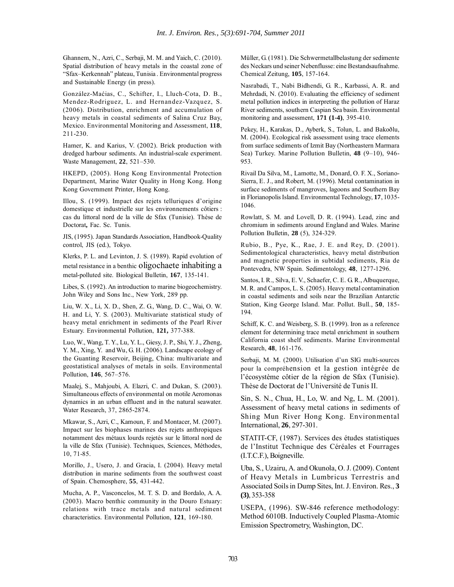Ghannem, N., Azri, C., Serbaji, M. M. and Yaich, C. (2010). Spatial distribution of heavy metals in the coastal zone of "Sfax–Kerkennah" plateau, Tunisia . Environmental progress and Sustainable Energy (in press).

González-Maćias, C., Schifter, I., Lluch-Cota, D. B., Mendez-Rodriguez, L. and Hernandez-Vazquez, S. (2006). Distribution, enrichment and accumulation of heavy metals in coastal sediments of Salina Cruz Bay, Mexico. Environmental Monitoring and Assessment, **118**, 211-230.

Hamer, K. and Karius, V. (2002). Brick production with dredged harbour sediments. An industrial-scale experiment. Waste Management, **22**, 521–530.

HKEPD, (2005). Hong Kong Environmental Protection Department, Marine Water Quality in Hong Kong. Hong Kong Government Printer, Hong Kong.

Illou, S. (1999). Impact des rejets telluriques d'origine domestique et industrielle sur les environnements côtiers : cas du littoral nord de la ville de Sfax (Tunisie). Thèse de Doctorat**,** Fac. Sc. Tunis.

JIS, (1995). Japan Standards Association, Handbook-Quality control, JIS (ed.), Tokyo.

Klerks, P. L. and Levinton, J. S. (1989). Rapid evolution of metal resistance in a benthic oligochaete inhabiting a metal-polluted site. Biological Bulletin, **167**, 135-141.

Libes, S. (1992). An introduction to marine biogeochemistry. John Wiley and Sons Inc., New York, 289 pp.

Liu, W. X., Li, X. D., Shen, Z. G., Wang, D. C., Wai, O. W. H. and Li, Y. S. (2003). Multivariate statistical study of heavy metal enrichment in sediments of the Pearl River Estuary. Environmental Pollution, **121,** 377-388.

Luo, W., Wang, T. Y., Lu, Y. L., Giesy, J. P., Shi, Y. J., Zheng, Y. M., Xing, Y. and Wu, G. H. (2006). Landscape ecology of the Guanting Reservoir, Beijing, China: multivariate and geostatistical analyses of metals in soils. Environmental Pollution, **146**, 567–576.

Maalej, S., Mahjoubi, A. Elazri, C. and Dukan, S. (2003). Simultaneous effects of environmental on motile Aeromonas dynamics in an urban effluent and in the natural seawater. Water Research, 37, 2865-2874.

Mkawar, S., Azri, C., Kamoun, F. and Montacer, M. (2007). Impact sur les biophases marines des rejets anthropiques notamment des métaux lourds rejetés sur le littoral nord de la ville de Sfax (Tunisie). Techniques, Sciences, Méthodes, 10, 71-85.

Morillo, J., Usero, J. and Gracia, I. (2004). Heavy metal distribution in marine sediments from the southwest coast of Spain. Chemosphere, **55**, 431-442.

Mucha, A. P., Vasconcelos, M. T. S. D. and Bordalo, A. A. (2003). Macro benthic community in the Douro Estuary: relations with trace metals and natural sediment characteristics. Environmental Pollution, **121**, 169-180.

Müller, G. (1981). Die Schwermetallbelastung der sedimente des Neckars und seiner Nebenflusse: eine Bestandsaufnahme. Chemical Zeitung, **105**, 157-164.

Nasrabadi, T., Nabi Bidhendi, G. R., Karbassi, A. R. and Mehrdadi, N. (2010). Evaluating the efficiency of sediment metal pollution indices in interpreting the pollution of Haraz River sediments, southern Caspian Sea basin. Environmental monitoring and assessment, **171 (1-4)**, 395-410.

Pekey, H., Karakas, D., Ayberk, S., Tolun, L. and Bakoðlu, M. (2004). Ecological risk assessment using trace elements from surface sediments of Izmit Bay (Northeastern Marmara Sea) Turkey. Marine Pollution Bulletin, **48** (9–10), 946- 953.

Rivail Da Silva, M., Lamotte, M., Donard, O. F. X., Soriano-Sierra, E. J., and Robert, M. (1996). Metal contamination in surface sediments of mangroves, lagoons and Southern Bay in Florianopolis Island. Environmental Technology, **17**, 1035- 1046.

Rowlatt, S. M. and Lovell, D. R. (1994). Lead, zinc and chromium in sediments around England and Wales. Marine Pollution Bulletin, **28** (5), 324-329.

Rubio, B., Pye, K., Rae, J. E. and Rey, D. (2001). Sedimentological characteristics, heavy metal distribution and magnetic properties in subtidal sediments, Ria de Pontevedra, NW Spain. Sedimentology, **48**, 1277-1296.

Santos, I. R., Silva, E. V., Schaefer, C. E. G. R., Albuquerque, M. R. and Campos, L. S. (2005). Heavy metal contamination in coastal sediments and soils near the Brazilian Antarctic Station, King George Island. Mar. Pollut. Bull., **50**, 185- 194.

Schiff, K. C. and Weisberg, S. B. (1999). Iron as a reference element for determining trace metal enrichment in southern California coast shelf sediments. Marine Environmental Research, **48**, 161-176.

Serbaji, M. M. (2000). Utilisation d'un SIG multi-sources pour la compréhension et la gestion intégrée de l'écosystème côtier de la région de Sfax (Tunisie). Thèse de Doctorat de l'Université de Tunis II.

Sin, S. N., Chua, H., Lo, W. and Ng, L. M. (2001). Assessment of heavy metal cations in sediments of Shing Mun River Hong Kong. Environmental International, **26**, 297-301.

STATIT-CF, (1987). Services des études statistiques de l'Institut Technique des Céréales et Fourrages (I.T.C.F.), Boigneville.

Uba, S., Uzairu, A. and Okunola, O. J. (2009). Content of Heavy Metals in Lumbricus Terrestris and Associated Soils in Dump Sites, Int. J. Environ. Res., **3 (3)**, 353-358

USEPA, (1996). SW-846 reference methodology: Method 6010B. Inductively Coupled Plasma-Atomic Emission Spectrometry, Washington, DC.